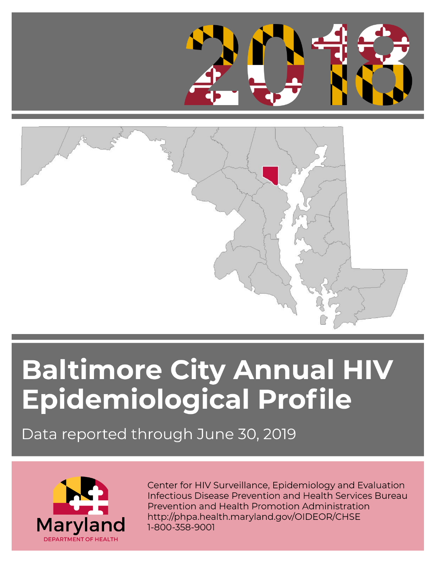



## **Baltimore City Annual HIV** Epidemiological Profile

Data reported through June 30, 2019



Center for HIV Surveillance, Epidemiology and Evaluation Infectious Disease Prevention and Health Services Bureau Prevention and Health Promotion Administration http://phpa.health.maryland.gov/OIDEOR/CHSE 1-800-358-9001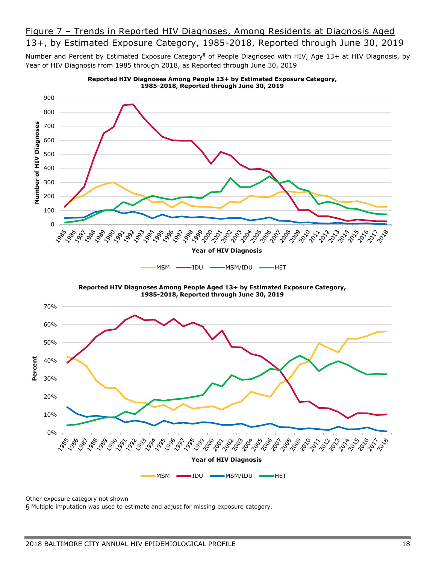## Figure 7 – Trends in Reported HIV Diagnoses, Among Residents at Diagnosis Aged 13+, by Estimated Exposure Category, 1985-2018, Reported through June 30, 2019

Number and Percent by Estimated Exposure Category<sup>§</sup> of People Diagnosed with HIV, Age 13+ at HIV Diagnosis, by Year of HIV Diagnosis from 1985 through 2018, as Reported through June 30, 2019



**Reported HIV Diagnoses Among People 13+ by Estimated Exposure Category,** 

Other exposure category not shown

§ Multiple imputation was used to estimate and adjust for missing exposure category.